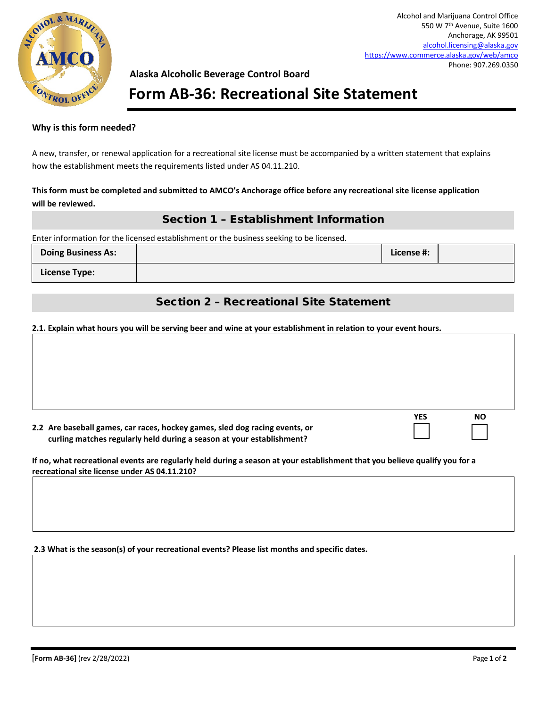

**YES NO**

## **Alaska Alcoholic Beverage Control Board**

# **Form AB-36: Recreational Site Statement**

### **Why is this form needed?**

A new, transfer, or renewal application for a recreational site license must be accompanied by a written statement that explains how the establishment meets the requirements listed under AS 04.11.210.

#### **This form must be completed and submitted to AMCO's Anchorage office before any recreational site license application will be reviewed.**

### Section 1 – Establishment Information

Enter information for the licensed establishment or the business seeking to be licensed.

| <b>Doing Business As:</b> | License #: |  |
|---------------------------|------------|--|
| License Type:             |            |  |

## Section 2 – Recreational Site Statement

#### **2.1. Explain what hours you will be serving beer and wine at your establishment in relation to your event hours.**

| 2.2 Are baseball games, car races, hockey games, sled dog racing events, or |  |
|-----------------------------------------------------------------------------|--|
| curling matches regularly held during a season at your establishment?       |  |

**If no, what recreational events are regularly held during a season at your establishment that you believe qualify you for a recreational site license under AS 04.11.210?**

**2.3 What is the season(s) of your recreational events? Please list months and specific dates.**